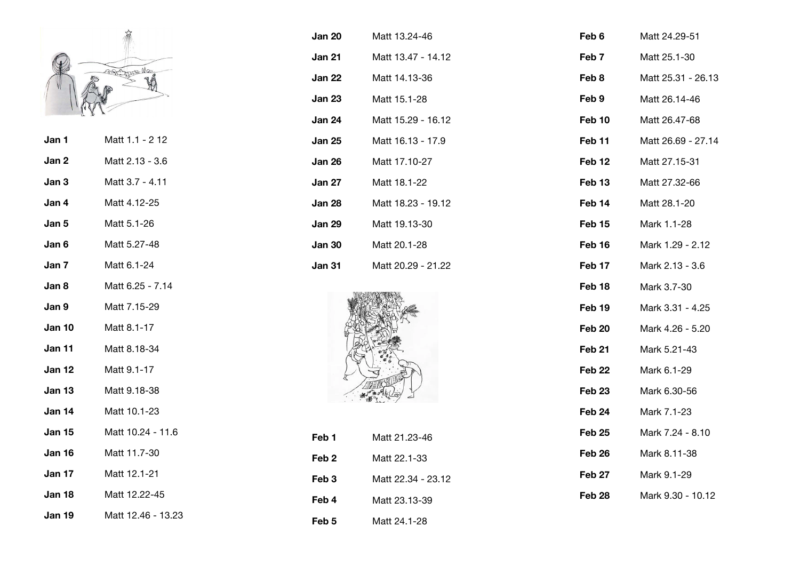

- **Jan 1** Matt 1.1 2 12 **Jan 2** Matt 2.13 - 3.6
- **Jan 3** Matt 3.7 4.11 **Jan 4** Matt 4.12-25
- **Jan 5** Matt 5.1-26
- **Jan 6** Matt 5.27-48
- **Jan 7** Matt 6.1-24
- **Jan 8** Matt 6.25 7.14
- **Jan 9** Matt 7.15-29
- **Jan 10** Matt 8.1-17
- **Jan 11** Matt 8.18-34
- **Jan 12** Matt 9.1-17
- **Jan 13** Matt 9.18-38
- **Jan 14** Matt 10.1-23
- **Jan 15** Matt 10.24 11.6
- **Jan 16** Matt 11.7-30
- **Jan 17** Matt 12.1-21
- **Jan 18** Matt 12.22-45
- **Jan 19** Matt 12.46 13.23

| Jan 20 | Matt 13.24-46      |
|--------|--------------------|
| Jan 21 | Matt 13.47 - 14.12 |
| Jan 22 | Matt 14.13-36      |
| Jan 23 | Matt 15.1-28       |
| Jan 24 | Matt 15.29 - 16.12 |
| Jan 25 | Matt 16.13 - 17.9  |
| Jan 26 | Matt 17.10-27      |
| Jan 27 | Matt 18.1-22       |
| Jan 28 | Matt 18.23 - 19.12 |
| Jan 29 | Matt 19.13-30      |
| Jan 30 | Matt 20.1-28       |
| Jan 31 | Matt 20.29 - 21.22 |



| Feb 1 | Matt 21.23-46      |
|-------|--------------------|
| Feb 2 | Matt 22.1-33       |
| Feb 3 | Matt 22.34 - 23.12 |
| Feb 4 | Matt 23.13-39      |
| Feb 5 | Matt 24.1-28       |

| Feb 6             | Matt 24.29-51      |
|-------------------|--------------------|
| Feb 7             | Matt 25.1-30       |
| Feb 8             | Matt 25.31 - 26.13 |
| Feb 9             | Matt 26.14-46      |
| Feb 10            | Matt 26.47-68      |
| Feb 11            | Matt 26.69 - 27.14 |
| Feb <sub>12</sub> | Matt 27.15-31      |
| Feb 13            | Matt 27.32-66      |
| Feb 14            | Matt 28.1-20       |
| Feb 15            | Mark 1.1-28        |
| Feb 16            | Mark 1.29 - 2.12   |
| Feb 17            | Mark 2.13 - 3.6    |
| Feb 18            | Mark 3.7-30        |
| Feb 19            | Mark 3.31 - 4.25   |
| Feb 20            | Mark 4.26 - 5.20   |
| Feb 21            | Mark 5.21-43       |
| Feb 22            | Mark 6.1-29        |
| Feb <sub>23</sub> | Mark 6.30-56       |
| Feb 24            | Mark 7.1-23        |
| Feb <sub>25</sub> | Mark 7.24 - 8.10   |
| Feb <sub>26</sub> | Mark 8.11-38       |
| Feb 27            | Mark 9.1-29        |
| Feb 28            | Mark 9.30 - 10.12  |